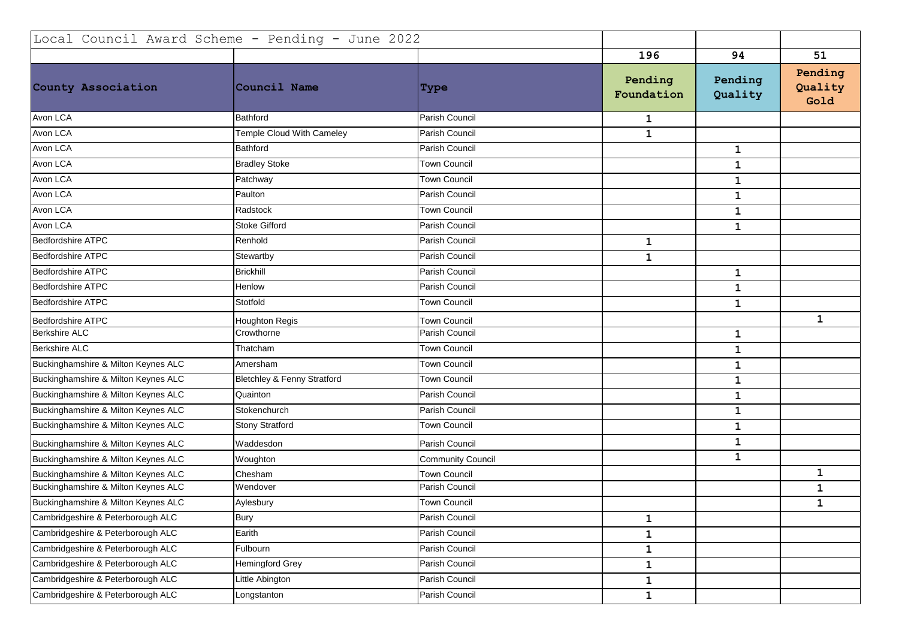| Local Council Award Scheme - Pending - June 2022 |                                        |                          |                       |                    |                            |
|--------------------------------------------------|----------------------------------------|--------------------------|-----------------------|--------------------|----------------------------|
|                                                  |                                        |                          | 196                   | 94                 | 51                         |
| County Association                               | Council Name                           | <b>Type</b>              | Pending<br>Foundation | Pending<br>Quality | Pending<br>Quality<br>Gold |
| Avon LCA                                         | <b>Bathford</b>                        | Parish Council           | $\mathbf{1}$          |                    |                            |
| Avon LCA                                         | Temple Cloud With Cameley              | Parish Council           | $\mathbf 1$           |                    |                            |
| Avon LCA                                         | Bathford                               | Parish Council           |                       | $\mathbf 1$        |                            |
| Avon LCA                                         | <b>Bradley Stoke</b>                   | Town Council             |                       | $\mathbf 1$        |                            |
| Avon LCA                                         | Patchway                               | Town Council             |                       | ${\bf 1}$          |                            |
| Avon LCA                                         | Paulton                                | Parish Council           |                       | $\mathbf 1$        |                            |
| Avon LCA                                         | Radstock                               | Town Council             |                       | $\mathbf 1$        |                            |
| Avon LCA                                         | <b>Stoke Gifford</b>                   | Parish Council           |                       | $\mathbf{1}$       |                            |
| <b>Bedfordshire ATPC</b>                         | Renhold                                | Parish Council           | $\mathbf 1$           |                    |                            |
| <b>Bedfordshire ATPC</b>                         | Stewartby                              | Parish Council           | $\mathbf{1}$          |                    |                            |
| <b>Bedfordshire ATPC</b>                         | <b>Brickhill</b>                       | Parish Council           |                       | $\mathbf{1}$       |                            |
| <b>Bedfordshire ATPC</b>                         | Henlow                                 | Parish Council           |                       | $\mathbf 1$        |                            |
| <b>Bedfordshire ATPC</b>                         | Stotfold                               | Town Council             |                       | $\mathbf{1}$       |                            |
| <b>Bedfordshire ATPC</b>                         | <b>Houghton Regis</b>                  | <b>Town Council</b>      |                       |                    | $\mathbf{1}$               |
| <b>Berkshire ALC</b>                             | Crowthorne                             | Parish Council           |                       | $\mathbf{1}$       |                            |
| <b>Berkshire ALC</b>                             | Thatcham                               | <b>Town Council</b>      |                       | $\mathbf 1$        |                            |
| Buckinghamshire & Milton Keynes ALC              | Amersham                               | Town Council             |                       | $\mathbf{1}$       |                            |
| Buckinghamshire & Milton Keynes ALC              | <b>Bletchley &amp; Fenny Stratford</b> | Town Council             |                       | $\mathbf 1$        |                            |
| Buckinghamshire & Milton Keynes ALC              | Quainton                               | Parish Council           |                       | $\mathbf 1$        |                            |
| Buckinghamshire & Milton Keynes ALC              | Stokenchurch                           | Parish Council           |                       | $\mathbf{1}$       |                            |
| Buckinghamshire & Milton Keynes ALC              | <b>Stony Stratford</b>                 | Town Council             |                       | $\mathbf 1$        |                            |
| Buckinghamshire & Milton Keynes ALC              | Waddesdon                              | Parish Council           |                       | $\mathbf 1$        |                            |
| Buckinghamshire & Milton Keynes ALC              | Woughton                               | <b>Community Council</b> |                       | $\mathbf{1}$       |                            |
| Buckinghamshire & Milton Keynes ALC              | Chesham                                | <b>Town Council</b>      |                       |                    | 1                          |
| Buckinghamshire & Milton Keynes ALC              | Wendover                               | Parish Council           |                       |                    | $\mathbf 1$                |
| Buckinghamshire & Milton Keynes ALC              | Aylesbury                              | <b>Town Council</b>      |                       |                    | $\mathbf 1$                |
| Cambridgeshire & Peterborough ALC                | <b>Bury</b>                            | Parish Council           | $\mathbf{1}$          |                    |                            |
| Cambridgeshire & Peterborough ALC                | Earith                                 | Parish Council           | $\mathbf 1$           |                    |                            |
| Cambridgeshire & Peterborough ALC                | Fulbourn                               | Parish Council           | $\mathbf 1$           |                    |                            |
| Cambridgeshire & Peterborough ALC                | Hemingford Grey                        | Parish Council           | $\mathbf{1}$          |                    |                            |
| Cambridgeshire & Peterborough ALC                | Little Abington                        | Parish Council           | $\mathbf 1$           |                    |                            |
| Cambridgeshire & Peterborough ALC                | Longstanton                            | Parish Council           | $\mathbf{1}$          |                    |                            |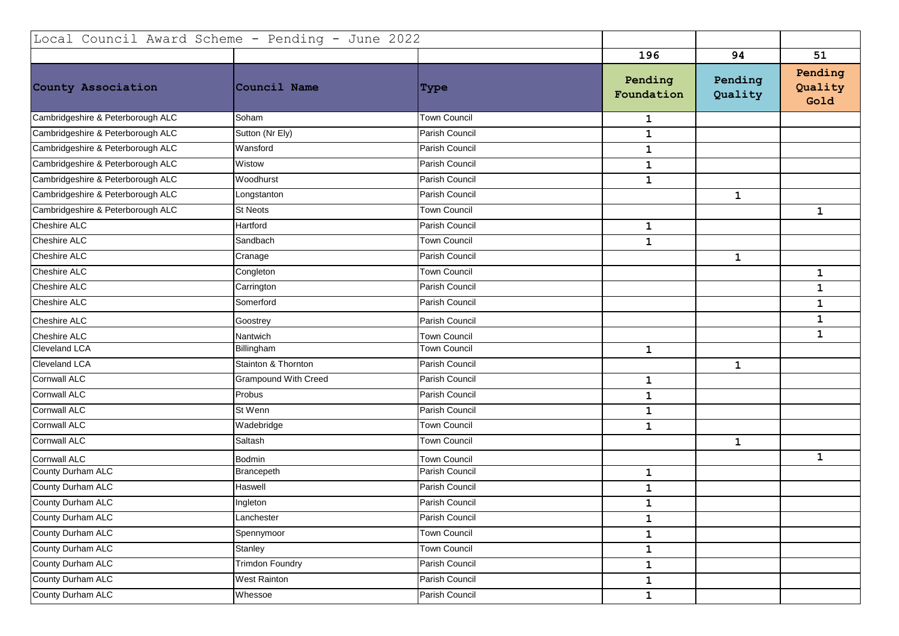| Local Council Award Scheme - Pending - June 2022 |                             |                     |                       |                    |                            |
|--------------------------------------------------|-----------------------------|---------------------|-----------------------|--------------------|----------------------------|
|                                                  |                             |                     | 196                   | 94                 | 51                         |
| County Association                               | Council Name                | Type                | Pending<br>Foundation | Pending<br>Quality | Pending<br>Quality<br>Gold |
| Cambridgeshire & Peterborough ALC                | Soham                       | <b>Town Council</b> | $\mathbf{1}$          |                    |                            |
| Cambridgeshire & Peterborough ALC                | Sutton (Nr Ely)             | Parish Council      | $\mathbf 1$           |                    |                            |
| Cambridgeshire & Peterborough ALC                | Wansford                    | Parish Council      | $\mathbf{1}$          |                    |                            |
| Cambridgeshire & Peterborough ALC                | Wistow                      | Parish Council      | $\mathbf 1$           |                    |                            |
| Cambridgeshire & Peterborough ALC                | Woodhurst                   | Parish Council      | $\mathbf{1}$          |                    |                            |
| Cambridgeshire & Peterborough ALC                | Longstanton                 | Parish Council      |                       | $\mathbf 1$        |                            |
| Cambridgeshire & Peterborough ALC                | <b>St Neots</b>             | Town Council        |                       |                    | $\mathbf 1$                |
| Cheshire ALC                                     | Hartford                    | Parish Council      | $\mathbf 1$           |                    |                            |
| Cheshire ALC                                     | Sandbach                    | Town Council        | $\mathbf 1$           |                    |                            |
| Cheshire ALC                                     | Cranage                     | Parish Council      |                       | $\mathbf{1}$       |                            |
| Cheshire ALC                                     | Congleton                   | <b>Town Council</b> |                       |                    | $\mathbf{1}$               |
| <b>Cheshire ALC</b>                              | Carrington                  | Parish Council      |                       |                    | 1                          |
| Cheshire ALC                                     | Somerford                   | Parish Council      |                       |                    | $\mathbf 1$                |
| Cheshire ALC                                     | Goostrey                    | Parish Council      |                       |                    | 1                          |
| <b>Cheshire ALC</b>                              | Nantwich                    | <b>Town Council</b> |                       |                    | $\mathbf{1}$               |
| Cleveland LCA                                    | Billingham                  | Town Council        | $\mathbf{1}$          |                    |                            |
| Cleveland LCA                                    | Stainton & Thornton         | Parish Council      |                       | $\mathbf 1$        |                            |
| <b>Cornwall ALC</b>                              | <b>Grampound With Creed</b> | Parish Council      | $\mathbf 1$           |                    |                            |
| <b>Cornwall ALC</b>                              | Probus                      | Parish Council      | $\mathbf 1$           |                    |                            |
| <b>Cornwall ALC</b>                              | St Wenn                     | Parish Council      | $\mathbf{1}$          |                    |                            |
| <b>Cornwall ALC</b>                              | Wadebridge                  | <b>Town Council</b> | $\mathbf{1}$          |                    |                            |
| <b>Cornwall ALC</b>                              | Saltash                     | Town Council        |                       | $\mathbf 1$        |                            |
| <b>Cornwall ALC</b>                              | <b>Bodmin</b>               | <b>Town Council</b> |                       |                    | $\mathbf{1}$               |
| County Durham ALC                                | Brancepeth                  | Parish Council      | $\mathbf 1$           |                    |                            |
| County Durham ALC                                | Haswell                     | Parish Council      | $\mathbf 1$           |                    |                            |
| County Durham ALC                                | Ingleton                    | Parish Council      | $\mathbf 1$           |                    |                            |
| County Durham ALC                                | Lanchester                  | Parish Council      | $\mathbf{1}$          |                    |                            |
| County Durham ALC                                | Spennymoor                  | <b>Town Council</b> | $\mathbf{1}$          |                    |                            |
| County Durham ALC                                | Stanley                     | <b>Town Council</b> | $\mathbf 1$           |                    |                            |
| County Durham ALC                                | Trimdon Foundry             | Parish Council      | $\mathbf{1}$          |                    |                            |
| County Durham ALC                                | <b>West Rainton</b>         | Parish Council      | $\mathbf 1$           |                    |                            |
| County Durham ALC                                | Whessoe                     | Parish Council      | $\mathbf{1}$          |                    |                            |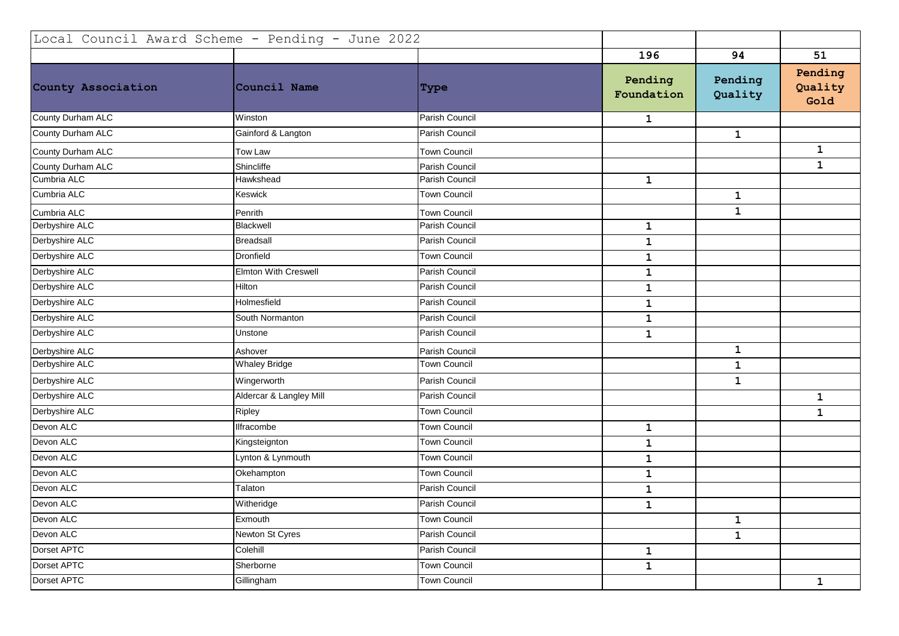| Local Council Award Scheme - Pending - June 2022 |                             |                     |                       |                    |                            |
|--------------------------------------------------|-----------------------------|---------------------|-----------------------|--------------------|----------------------------|
|                                                  |                             |                     | 196                   | 94                 | 51                         |
| County Association                               | Council Name                | Type                | Pending<br>Foundation | Pending<br>Quality | Pending<br>Quality<br>Gold |
| County Durham ALC                                | Winston                     | Parish Council      | $\mathbf{1}$          |                    |                            |
| County Durham ALC                                | Gainford & Langton          | Parish Council      |                       | $\mathbf 1$        |                            |
| County Durham ALC                                | Tow Law                     | <b>Town Council</b> |                       |                    | $\mathbf{1}$               |
| County Durham ALC                                | Shincliffe                  | Parish Council      |                       |                    | $\mathbf 1$                |
| Cumbria ALC                                      | Hawkshead                   | Parish Council      | $\mathbf{1}$          |                    |                            |
| Cumbria ALC                                      | Keswick                     | Town Council        |                       | $\mathbf{1}$       |                            |
| Cumbria ALC                                      | Penrith                     | <b>Town Council</b> |                       | 1                  |                            |
| Derbyshire ALC                                   | Blackwell                   | Parish Council      | $\mathbf{1}$          |                    |                            |
| Derbyshire ALC                                   | <b>Breadsall</b>            | Parish Council      | $\mathbf 1$           |                    |                            |
| Derbyshire ALC                                   | Dronfield                   | <b>Town Council</b> | $\mathbf{1}$          |                    |                            |
| Derbyshire ALC                                   | <b>Elmton With Creswell</b> | Parish Council      | $\mathbf 1$           |                    |                            |
| Derbyshire ALC                                   | Hilton                      | Parish Council      | $\mathbf 1$           |                    |                            |
| Derbyshire ALC                                   | Holmesfield                 | Parish Council      | $\mathbf{1}$          |                    |                            |
| Derbyshire ALC                                   | South Normanton             | Parish Council      | $\mathbf 1$           |                    |                            |
| Derbyshire ALC                                   | Unstone                     | Parish Council      | $\mathbf{1}$          |                    |                            |
| Derbyshire ALC                                   | Ashover                     | Parish Council      |                       | $\mathbf 1$        |                            |
| Derbyshire ALC                                   | <b>Whaley Bridge</b>        | Town Council        |                       | 1                  |                            |
| Derbyshire ALC                                   | Wingerworth                 | Parish Council      |                       | $\mathbf{1}$       |                            |
| Derbyshire ALC                                   | Aldercar & Langley Mill     | Parish Council      |                       |                    | $\mathbf 1$                |
| Derbyshire ALC                                   | Ripley                      | Town Council        |                       |                    | $\mathbf 1$                |
| Devon ALC                                        | Ilfracombe                  | <b>Town Council</b> | $\mathbf{1}$          |                    |                            |
| Devon ALC                                        | Kingsteignton               | <b>Town Council</b> | $\mathbf{1}$          |                    |                            |
| Devon ALC                                        | Lynton & Lynmouth           | <b>Town Council</b> | $\mathbf 1$           |                    |                            |
| Devon ALC                                        | Okehampton                  | Town Council        | $\mathbf 1$           |                    |                            |
| Devon ALC                                        | Talaton                     | Parish Council      | $\mathbf 1$           |                    |                            |
| Devon ALC                                        | Witheridge                  | Parish Council      | $\mathbf{1}$          |                    |                            |
| Devon ALC                                        | Exmouth                     | <b>Town Council</b> |                       | $\mathbf{1}$       |                            |
| Devon ALC                                        | Newton St Cyres             | Parish Council      |                       | $\mathbf{1}$       |                            |
| Dorset APTC                                      | Colehill                    | Parish Council      | $\mathbf{1}$          |                    |                            |
| Dorset APTC                                      | Sherborne                   | <b>Town Council</b> | $\mathbf 1$           |                    |                            |
| Dorset APTC                                      | Gillingham                  | <b>Town Council</b> |                       |                    | $\mathbf{1}$               |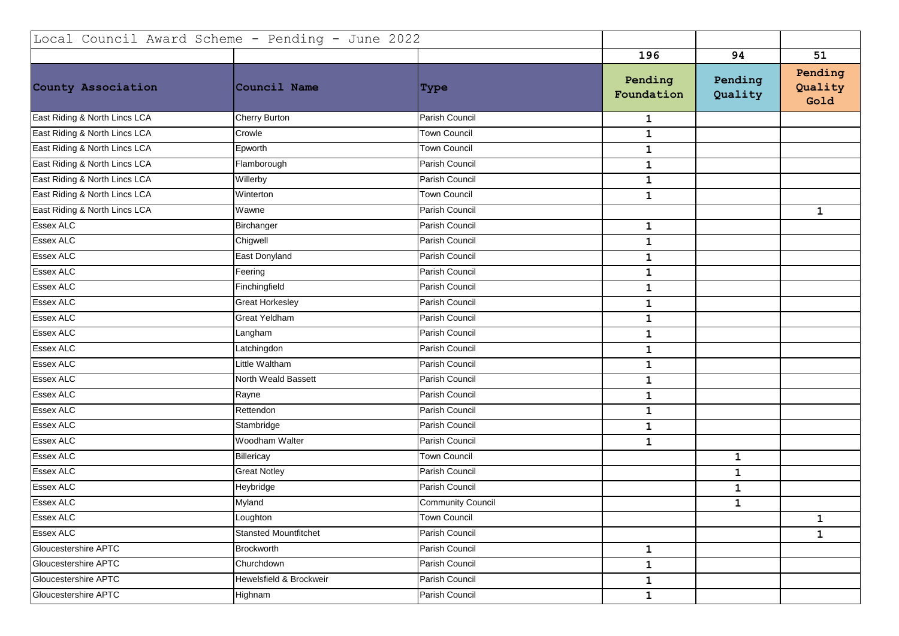| Local Council Award Scheme - Pending - June 2022 |                              |                          |                       |                    |                            |
|--------------------------------------------------|------------------------------|--------------------------|-----------------------|--------------------|----------------------------|
|                                                  |                              |                          | 196                   | 94                 | 51                         |
| County Association                               | Council Name                 | Type                     | Pending<br>Foundation | Pending<br>Quality | Pending<br>Quality<br>Gold |
| East Riding & North Lincs LCA                    | Cherry Burton                | Parish Council           | $\mathbf{1}$          |                    |                            |
| East Riding & North Lincs LCA                    | Crowle                       | Town Council             | $\mathbf 1$           |                    |                            |
| East Riding & North Lincs LCA                    | Epworth                      | <b>Town Council</b>      | $\mathbf 1$           |                    |                            |
| East Riding & North Lincs LCA                    | Flamborough                  | Parish Council           | $\mathbf{1}$          |                    |                            |
| East Riding & North Lincs LCA                    | Willerby                     | Parish Council           | $\mathbf{1}$          |                    |                            |
| East Riding & North Lincs LCA                    | Winterton                    | <b>Town Council</b>      | $\mathbf{1}$          |                    |                            |
| East Riding & North Lincs LCA                    | Wawne                        | Parish Council           |                       |                    | $\mathbf{1}$               |
| Essex ALC                                        | Birchanger                   | Parish Council           | $\mathbf 1$           |                    |                            |
| <b>Essex ALC</b>                                 | Chigwell                     | Parish Council           | $\mathbf 1$           |                    |                            |
| <b>Essex ALC</b>                                 | East Donyland                | Parish Council           | $\mathbf{1}$          |                    |                            |
| <b>Essex ALC</b>                                 | Feering                      | Parish Council           | $\mathbf 1$           |                    |                            |
| <b>Essex ALC</b>                                 | Finchingfield                | Parish Council           | $\mathbf{1}$          |                    |                            |
| Essex ALC                                        | <b>Great Horkesley</b>       | Parish Council           | $\mathbf{1}$          |                    |                            |
| <b>Essex ALC</b>                                 | <b>Great Yeldham</b>         | Parish Council           | $\mathbf{1}$          |                    |                            |
| <b>Essex ALC</b>                                 | Langham                      | Parish Council           | $\mathbf{1}$          |                    |                            |
| <b>Essex ALC</b>                                 | Latchingdon                  | Parish Council           | $\mathbf 1$           |                    |                            |
| <b>Essex ALC</b>                                 | Little Waltham               | Parish Council           | $\mathbf{1}$          |                    |                            |
| <b>Essex ALC</b>                                 | North Weald Bassett          | Parish Council           | $\mathbf{1}$          |                    |                            |
| <b>Essex ALC</b>                                 | Rayne                        | Parish Council           | $\mathbf 1$           |                    |                            |
| <b>Essex ALC</b>                                 | Rettendon                    | Parish Council           | $\mathbf{1}$          |                    |                            |
| <b>Essex ALC</b>                                 | Stambridge                   | Parish Council           | $\mathbf{1}$          |                    |                            |
| <b>Essex ALC</b>                                 | Woodham Walter               | Parish Council           | $\mathbf{1}$          |                    |                            |
| Essex ALC                                        | Billericay                   | <b>Town Council</b>      |                       | $\mathbf 1$        |                            |
| <b>Essex ALC</b>                                 | <b>Great Notley</b>          | Parish Council           |                       | $\mathbf 1$        |                            |
| <b>Essex ALC</b>                                 | Heybridge                    | Parish Council           |                       | $\mathbf{1}$       |                            |
| <b>Essex ALC</b>                                 | Myland                       | <b>Community Council</b> |                       | ${\bf 1}$          |                            |
| <b>Essex ALC</b>                                 | Loughton                     | <b>Town Council</b>      |                       |                    | 1                          |
| Essex ALC                                        | <b>Stansted Mountfitchet</b> | Parish Council           |                       |                    | $\mathbf{1}$               |
| <b>Gloucestershire APTC</b>                      | <b>Brockworth</b>            | Parish Council           | $\mathbf{1}$          |                    |                            |
| Gloucestershire APTC                             | Churchdown                   | Parish Council           | $\mathbf{1}$          |                    |                            |
| Gloucestershire APTC                             | Hewelsfield & Brockweir      | Parish Council           | $\mathbf{1}$          |                    |                            |
| Gloucestershire APTC                             | Highnam                      | Parish Council           | $\mathbf{1}$          |                    |                            |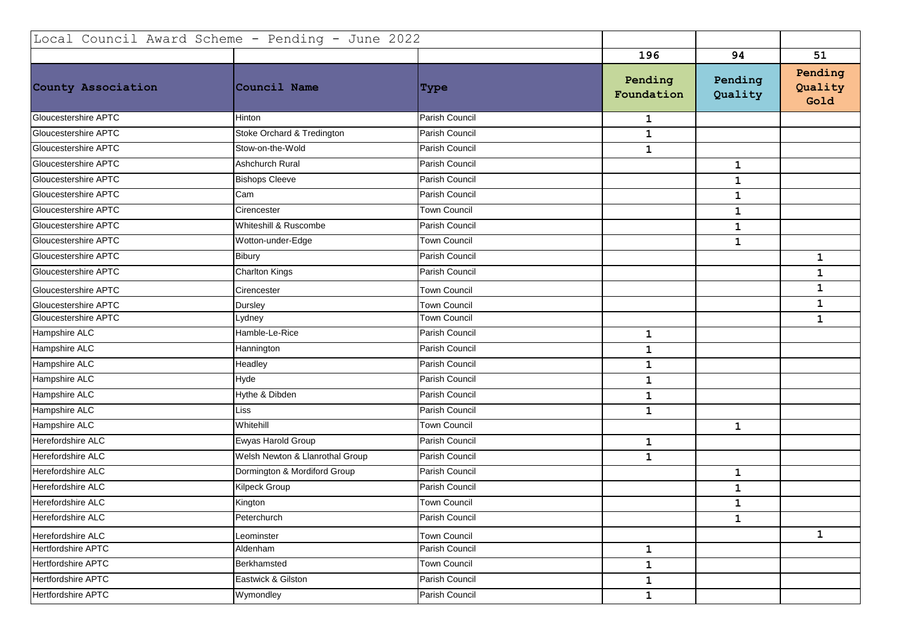| Local Council Award Scheme - Pending - June 2022 |                                 |                     |                       |                    |                            |
|--------------------------------------------------|---------------------------------|---------------------|-----------------------|--------------------|----------------------------|
|                                                  |                                 |                     | 196                   | 94                 | 51                         |
| County Association                               | Council Name                    | <b>Type</b>         | Pending<br>Foundation | Pending<br>Quality | Pending<br>Quality<br>Gold |
| Gloucestershire APTC                             | <b>Hinton</b>                   | Parish Council      | $\mathbf{1}$          |                    |                            |
| Gloucestershire APTC                             | Stoke Orchard & Tredington      | Parish Council      | $\mathbf{1}$          |                    |                            |
| Gloucestershire APTC                             | Stow-on-the-Wold                | Parish Council      | $\mathbf{1}$          |                    |                            |
| Gloucestershire APTC                             | <b>Ashchurch Rural</b>          | Parish Council      |                       | $\mathbf{1}$       |                            |
| Gloucestershire APTC                             | <b>Bishops Cleeve</b>           | Parish Council      |                       | $\mathbf 1$        |                            |
| Gloucestershire APTC                             | Cam                             | Parish Council      |                       | $\mathbf{1}$       |                            |
| Gloucestershire APTC                             | Cirencester                     | Town Council        |                       | $\mathbf{1}$       |                            |
| Gloucestershire APTC                             | Whiteshill & Ruscombe           | Parish Council      |                       | $\mathbf 1$        |                            |
| Gloucestershire APTC                             | Wotton-under-Edge               | <b>Town Council</b> |                       | $\mathbf 1$        |                            |
| Gloucestershire APTC                             | Bibury                          | Parish Council      |                       |                    | $\mathbf{1}$               |
| Gloucestershire APTC                             | <b>Charlton Kings</b>           | Parish Council      |                       |                    | $\mathbf{1}$               |
| Gloucestershire APTC                             | Cirencester                     | <b>Town Council</b> |                       |                    | 1                          |
| Gloucestershire APTC                             | Dursley                         | <b>Town Council</b> |                       |                    | $\mathbf 1$                |
| Gloucestershire APTC                             | Lydney                          | <b>Town Council</b> |                       |                    | $\mathbf{1}$               |
| Hampshire ALC                                    | Hamble-Le-Rice                  | Parish Council      | $\mathbf 1$           |                    |                            |
| Hampshire ALC                                    | Hannington                      | Parish Council      | $\mathbf 1$           |                    |                            |
| Hampshire ALC                                    | Headley                         | Parish Council      | $\mathbf 1$           |                    |                            |
| Hampshire ALC                                    | Hyde                            | Parish Council      | $\mathbf 1$           |                    |                            |
| Hampshire ALC                                    | Hythe & Dibden                  | Parish Council      | $\mathbf{1}$          |                    |                            |
| Hampshire ALC                                    | Liss                            | Parish Council      | $\mathbf{1}$          |                    |                            |
| Hampshire ALC                                    | Whitehill                       | <b>Town Council</b> |                       | $\mathbf{1}$       |                            |
| Herefordshire ALC                                | Ewyas Harold Group              | Parish Council      | $\mathbf{1}$          |                    |                            |
| Herefordshire ALC                                | Welsh Newton & Llanrothal Group | Parish Council      | $\mathbf{1}$          |                    |                            |
| Herefordshire ALC                                | Dormington & Mordiford Group    | Parish Council      |                       | $\mathbf{1}$       |                            |
| Herefordshire ALC                                | Kilpeck Group                   | Parish Council      |                       | $\mathbf{1}$       |                            |
| Herefordshire ALC                                | Kington                         | <b>Town Council</b> |                       | 1                  |                            |
| Herefordshire ALC                                | Peterchurch                     | Parish Council      |                       | $\mathbf 1$        |                            |
| Herefordshire ALC                                | Leominster                      | <b>Town Council</b> |                       |                    | $\mathbf 1$                |
| Hertfordshire APTC                               | Aldenham                        | Parish Council      | $\mathbf{1}$          |                    |                            |
| <b>Hertfordshire APTC</b>                        | Berkhamsted                     | Town Council        | $\mathbf{1}$          |                    |                            |
| <b>Hertfordshire APTC</b>                        | Eastwick & Gilston              | Parish Council      | $\mathbf{1}$          |                    |                            |
| <b>Hertfordshire APTC</b>                        | Wymondley                       | Parish Council      | $\mathbf{1}$          |                    |                            |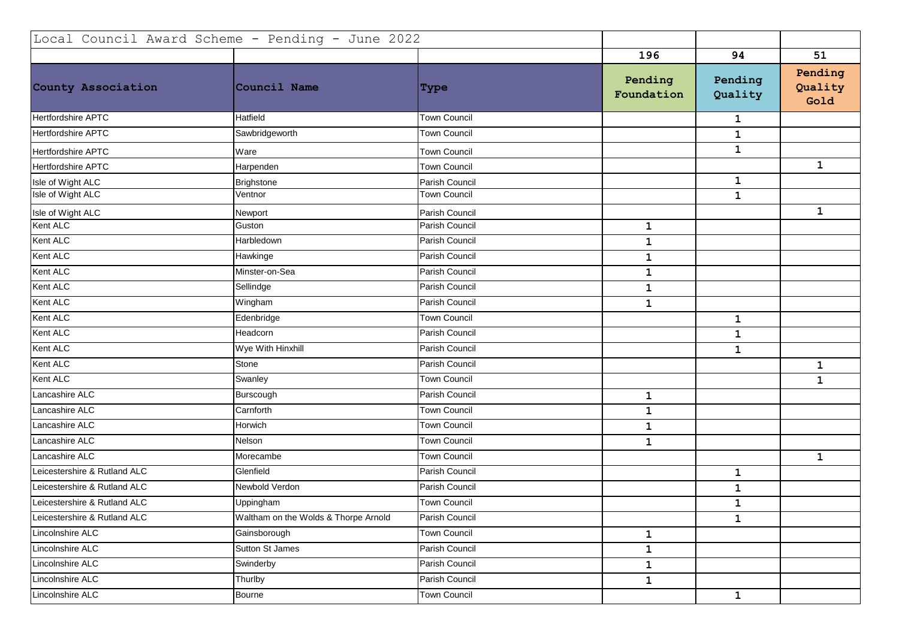| Local Council Award Scheme - Pending - June 2022 |                                      |                     |                       |                    |                            |
|--------------------------------------------------|--------------------------------------|---------------------|-----------------------|--------------------|----------------------------|
|                                                  |                                      |                     | 196                   | 94                 | 51                         |
| County Association                               | Council Name                         | <b>Type</b>         | Pending<br>Foundation | Pending<br>Quality | Pending<br>Quality<br>Gold |
| <b>Hertfordshire APTC</b>                        | Hatfield                             | <b>Town Council</b> |                       | 1                  |                            |
| <b>Hertfordshire APTC</b>                        | Sawbridgeworth                       | Town Council        |                       | $\mathbf 1$        |                            |
| <b>Hertfordshire APTC</b>                        | Ware                                 | <b>Town Council</b> |                       | $\mathbf{1}$       |                            |
| Hertfordshire APTC                               | Harpenden                            | <b>Town Council</b> |                       |                    | $\mathbf 1$                |
| Isle of Wight ALC                                | Brighstone                           | Parish Council      |                       | $\mathbf{1}$       |                            |
| Isle of Wight ALC                                | Ventnor                              | <b>Town Council</b> |                       | $\mathbf{1}$       |                            |
| Isle of Wight ALC                                | Newport                              | Parish Council      |                       |                    | $\mathbf 1$                |
| Kent ALC                                         | Guston                               | Parish Council      | $\mathbf{1}$          |                    |                            |
| Kent ALC                                         | Harbledown                           | Parish Council      | $\mathbf 1$           |                    |                            |
| Kent ALC                                         | Hawkinge                             | Parish Council      | $\mathbf{1}$          |                    |                            |
| Kent ALC                                         | Minster-on-Sea                       | Parish Council      | $\mathbf 1$           |                    |                            |
| Kent ALC                                         | Sellindge                            | Parish Council      | $\mathbf 1$           |                    |                            |
| Kent ALC                                         | Wingham                              | Parish Council      | $\mathbf 1$           |                    |                            |
| Kent ALC                                         | Edenbridge                           | <b>Town Council</b> |                       | $\mathbf{1}$       |                            |
| Kent ALC                                         | Headcorn                             | Parish Council      |                       | $\mathbf{1}$       |                            |
| Kent ALC                                         | Wye With Hinxhill                    | Parish Council      |                       | $\mathbf{1}$       |                            |
| Kent ALC                                         | Stone                                | Parish Council      |                       |                    | $\mathbf 1$                |
| Kent ALC                                         | Swanley                              | <b>Town Council</b> |                       |                    | $\mathbf 1$                |
| Lancashire ALC                                   | Burscough                            | Parish Council      | $\mathbf 1$           |                    |                            |
| Lancashire ALC                                   | Carnforth                            | Town Council        | $\mathbf{1}$          |                    |                            |
| Lancashire ALC                                   | Horwich                              | <b>Town Council</b> | $\mathbf 1$           |                    |                            |
| Lancashire ALC                                   | Nelson                               | <b>Town Council</b> | $\mathbf{1}$          |                    |                            |
| Lancashire ALC                                   | Morecambe                            | <b>Town Council</b> |                       |                    | $\mathbf{1}$               |
| Leicestershire & Rutland ALC                     | Glenfield                            | Parish Council      |                       | $\mathbf{1}$       |                            |
| Leicestershire & Rutland ALC                     | Newbold Verdon                       | Parish Council      |                       | $\mathbf{1}$       |                            |
| Leicestershire & Rutland ALC                     | Uppingham                            | <b>Town Council</b> |                       | $\mathbf 1$        |                            |
| Leicestershire & Rutland ALC                     | Waltham on the Wolds & Thorpe Arnold | Parish Council      |                       | $\mathbf{1}$       |                            |
| Lincolnshire ALC                                 | Gainsborough                         | Town Council        | $\mathbf{1}$          |                    |                            |
| Lincolnshire ALC                                 | Sutton St James                      | Parish Council      | $\mathbf{1}$          |                    |                            |
| Lincolnshire ALC                                 | Swinderby                            | Parish Council      | $\mathbf{1}$          |                    |                            |
| Lincolnshire ALC                                 | Thurlby                              | Parish Council      | $\mathbf{1}$          |                    |                            |
| Lincolnshire ALC                                 | Bourne                               | <b>Town Council</b> |                       | $\mathbf{1}$       |                            |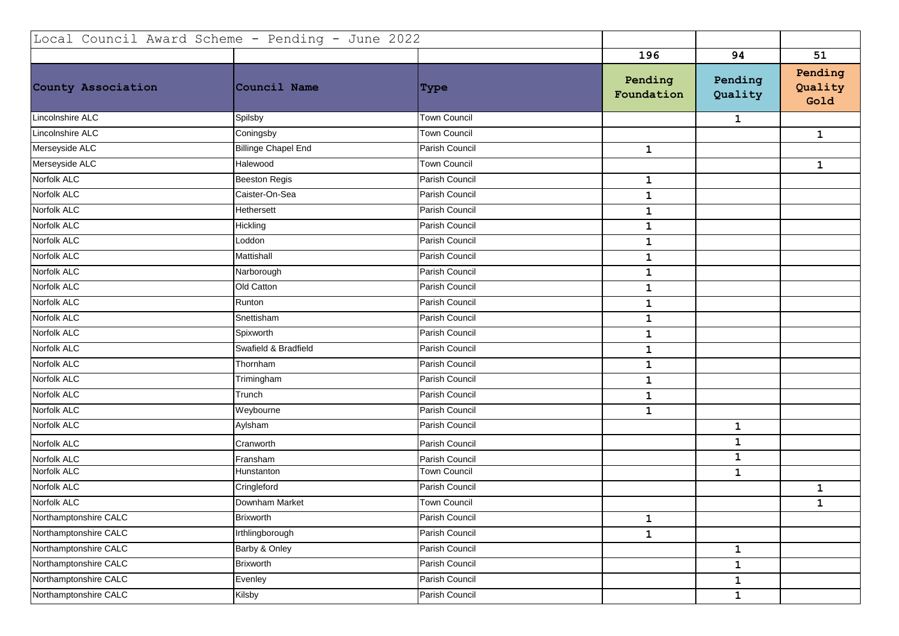| Local Council Award Scheme - Pending - June 2022 |                            |                     |                       |                    |                            |
|--------------------------------------------------|----------------------------|---------------------|-----------------------|--------------------|----------------------------|
|                                                  |                            |                     | 196                   | 94                 | 51                         |
| County Association                               | Council Name               | <b>Type</b>         | Pending<br>Foundation | Pending<br>Quality | Pending<br>Quality<br>Gold |
| Lincolnshire ALC                                 | Spilsby                    | <b>Town Council</b> |                       | 1                  |                            |
| Lincolnshire ALC                                 | Coningsby                  | Town Council        |                       |                    | 1                          |
| Merseyside ALC                                   | <b>Billinge Chapel End</b> | Parish Council      | $\mathbf{1}$          |                    |                            |
| Merseyside ALC                                   | Halewood                   | <b>Town Council</b> |                       |                    | $\mathbf 1$                |
| Norfolk ALC                                      | <b>Beeston Regis</b>       | Parish Council      | $\mathbf{1}$          |                    |                            |
| Norfolk ALC                                      | Caister-On-Sea             | Parish Council      | $\mathbf 1$           |                    |                            |
| Norfolk ALC                                      | Hethersett                 | Parish Council      | $\mathbf 1$           |                    |                            |
| Norfolk ALC                                      | Hickling                   | Parish Council      | $\mathbf 1$           |                    |                            |
| Norfolk ALC                                      | Loddon                     | Parish Council      | 1                     |                    |                            |
| Norfolk ALC                                      | Mattishall                 | Parish Council      | $\mathbf 1$           |                    |                            |
| Norfolk ALC                                      | Narborough                 | Parish Council      | $\mathbf 1$           |                    |                            |
| Norfolk ALC                                      | Old Catton                 | Parish Council      | $\mathbf 1$           |                    |                            |
| Norfolk ALC                                      | Runton                     | Parish Council      | $\mathbf 1$           |                    |                            |
| Norfolk ALC                                      | Snettisham                 | Parish Council      | $\mathbf 1$           |                    |                            |
| Norfolk ALC                                      | Spixworth                  | Parish Council      | $\mathbf 1$           |                    |                            |
| Norfolk ALC                                      | Swafield & Bradfield       | Parish Council      | $\mathbf 1$           |                    |                            |
| Norfolk ALC                                      | Thornham                   | Parish Council      | $\mathbf 1$           |                    |                            |
| Norfolk ALC                                      | Trimingham                 | Parish Council      | $\mathbf 1$           |                    |                            |
| Norfolk ALC                                      | Trunch                     | Parish Council      | $\mathbf 1$           |                    |                            |
| Norfolk ALC                                      | Weybourne                  | Parish Council      | $\mathbf{1}$          |                    |                            |
| Norfolk ALC                                      | Aylsham                    | Parish Council      |                       | $\mathbf{1}$       |                            |
| Norfolk ALC                                      | Cranworth                  | Parish Council      |                       | $\mathbf 1$        |                            |
| Norfolk ALC                                      | Fransham                   | Parish Council      |                       | $\mathbf 1$        |                            |
| Norfolk ALC                                      | Hunstanton                 | <b>Town Council</b> |                       | $\mathbf{1}$       |                            |
| Norfolk ALC                                      | Cringleford                | Parish Council      |                       |                    | $\mathbf 1$                |
| Norfolk ALC                                      | Downham Market             | <b>Town Council</b> |                       |                    | $\mathbf 1$                |
| Northamptonshire CALC                            | Brixworth                  | Parish Council      | $\mathbf{1}$          |                    |                            |
| Northamptonshire CALC                            | Irthlingborough            | Parish Council      | $\mathbf{1}$          |                    |                            |
| Northamptonshire CALC                            | Barby & Onley              | Parish Council      |                       | $\mathbf{1}$       |                            |
| Northamptonshire CALC                            | <b>Brixworth</b>           | Parish Council      |                       | $\mathbf{1}$       |                            |
| Northamptonshire CALC                            | Evenley                    | Parish Council      |                       | $\mathbf{1}$       |                            |
| Northamptonshire CALC                            | Kilsby                     | Parish Council      |                       | $\mathbf{1}$       |                            |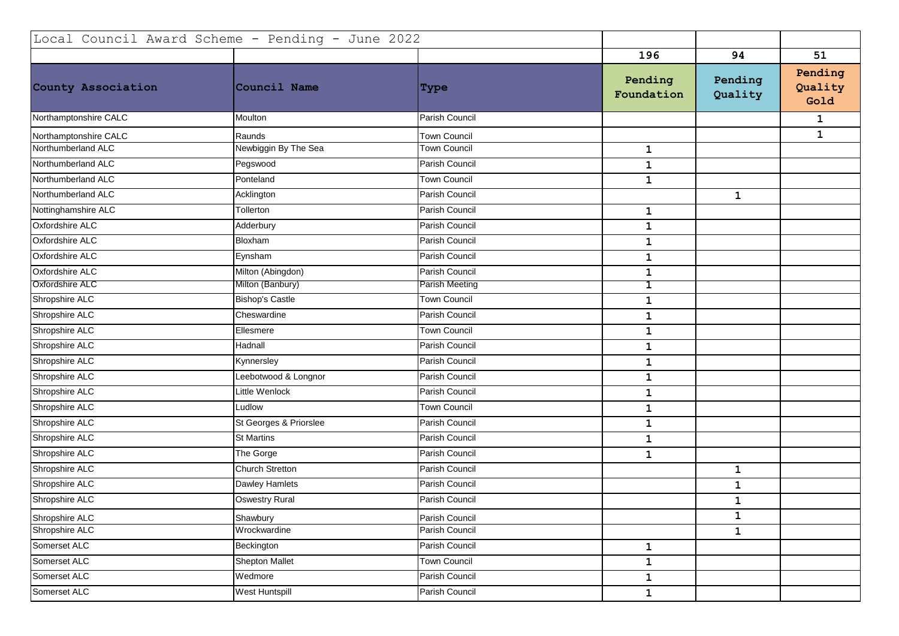| Local Council Award Scheme - Pending - June 2022 |                        |                     |                       |                    |                            |
|--------------------------------------------------|------------------------|---------------------|-----------------------|--------------------|----------------------------|
|                                                  |                        |                     | 196                   | 94                 | 51                         |
| County Association                               | Council Name           | <b>Type</b>         | Pending<br>Foundation | Pending<br>Quality | Pending<br>Quality<br>Gold |
| Northamptonshire CALC                            | Moulton                | Parish Council      |                       |                    | $\mathbf{1}$               |
| Northamptonshire CALC                            | Raunds                 | <b>Town Council</b> |                       |                    | $\mathbf{1}$               |
| Northumberland ALC                               | Newbiggin By The Sea   | Town Council        | $\mathbf 1$           |                    |                            |
| Northumberland ALC                               | Pegswood               | Parish Council      | $\mathbf 1$           |                    |                            |
| Northumberland ALC                               | Ponteland              | Town Council        | $\mathbf{1}$          |                    |                            |
| Northumberland ALC                               | Acklington             | Parish Council      |                       | $\mathbf{1}$       |                            |
| Nottinghamshire ALC                              | Tollerton              | Parish Council      | $\mathbf{1}$          |                    |                            |
| Oxfordshire ALC                                  | Adderbury              | Parish Council      | $\mathbf 1$           |                    |                            |
| Oxfordshire ALC                                  | Bloxham                | Parish Council      | $\mathbf{1}$          |                    |                            |
| Oxfordshire ALC                                  | Eynsham                | Parish Council      | $\mathbf{1}$          |                    |                            |
| Oxfordshire ALC                                  | Milton (Abingdon)      | Parish Council      | $\mathbf 1$           |                    |                            |
| <b>Oxfordshire ALC</b>                           | Milton (Banbury)       | Parish Meeting      | 1                     |                    |                            |
| Shropshire ALC                                   | <b>Bishop's Castle</b> | Town Council        | $\mathbf 1$           |                    |                            |
| Shropshire ALC                                   | Cheswardine            | Parish Council      | $\mathbf{1}$          |                    |                            |
| Shropshire ALC                                   | Ellesmere              | <b>Town Council</b> | $\mathbf 1$           |                    |                            |
| Shropshire ALC                                   | Hadnall                | Parish Council      | $\mathbf{1}$          |                    |                            |
| Shropshire ALC                                   | Kynnersley             | Parish Council      | $\mathbf{1}$          |                    |                            |
| Shropshire ALC                                   | Leebotwood & Longnor   | Parish Council      | $\mathbf{1}$          |                    |                            |
| Shropshire ALC                                   | Little Wenlock         | Parish Council      | $\mathbf{1}$          |                    |                            |
| Shropshire ALC                                   | Ludlow                 | Town Council        | $\mathbf 1$           |                    |                            |
| Shropshire ALC                                   | St Georges & Priorslee | Parish Council      | $\mathbf{1}$          |                    |                            |
| Shropshire ALC                                   | <b>St Martins</b>      | Parish Council      | $\mathbf{1}$          |                    |                            |
| Shropshire ALC                                   | The Gorge              | Parish Council      | $\mathbf{1}$          |                    |                            |
| Shropshire ALC                                   | Church Stretton        | Parish Council      |                       | $\mathbf 1$        |                            |
| Shropshire ALC                                   | <b>Dawley Hamlets</b>  | Parish Council      |                       | $\mathbf 1$        |                            |
| Shropshire ALC                                   | <b>Oswestry Rural</b>  | Parish Council      |                       | $\mathbf 1$        |                            |
| Shropshire ALC                                   | Shawbury               | Parish Council      |                       | $\mathbf{1}$       |                            |
| Shropshire ALC                                   | Wrockwardine           | Parish Council      |                       | $\mathbf{1}$       |                            |
| Somerset ALC                                     | Beckington             | Parish Council      | $\mathbf{1}$          |                    |                            |
| Somerset ALC                                     | <b>Shepton Mallet</b>  | Town Council        | $\mathbf 1$           |                    |                            |
| Somerset ALC                                     | Wedmore                | Parish Council      | $\mathbf{1}$          |                    |                            |
| Somerset ALC                                     | West Huntspill         | Parish Council      | $\mathbf{1}$          |                    |                            |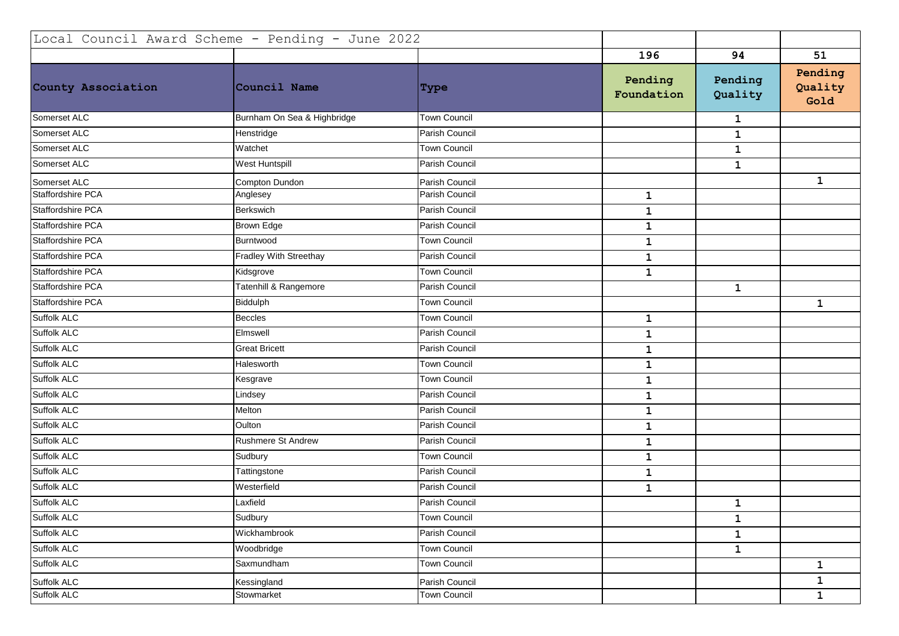| Local Council Award Scheme - Pending - June 2022 |                             |                     |                       |                    |                            |
|--------------------------------------------------|-----------------------------|---------------------|-----------------------|--------------------|----------------------------|
|                                                  |                             |                     | 196                   | 94                 | 51                         |
| County Association                               | Council Name                | Type                | Pending<br>Foundation | Pending<br>Quality | Pending<br>Quality<br>Gold |
| Somerset ALC                                     | Burnham On Sea & Highbridge | <b>Town Council</b> |                       | $\mathbf{1}$       |                            |
| Somerset ALC                                     | Henstridge                  | Parish Council      |                       | 1                  |                            |
| Somerset ALC                                     | Watchet                     | <b>Town Council</b> |                       | 1                  |                            |
| Somerset ALC                                     | <b>West Huntspill</b>       | Parish Council      |                       | $\mathbf{1}$       |                            |
| Somerset ALC                                     | Compton Dundon              | Parish Council      |                       |                    | $\mathbf 1$                |
| Staffordshire PCA                                | Anglesey                    | Parish Council      | $\mathbf{1}$          |                    |                            |
| Staffordshire PCA                                | Berkswich                   | Parish Council      | $\mathbf 1$           |                    |                            |
| Staffordshire PCA                                | Brown Edge                  | Parish Council      | $\mathbf 1$           |                    |                            |
| Staffordshire PCA                                | Burntwood                   | Town Council        | $\mathbf 1$           |                    |                            |
| Staffordshire PCA                                | Fradley With Streethay      | Parish Council      | $\mathbf{1}$          |                    |                            |
| Staffordshire PCA                                | Kidsgrove                   | Town Council        | $\mathbf{1}$          |                    |                            |
| Staffordshire PCA                                | Tatenhill & Rangemore       | Parish Council      |                       | 1                  |                            |
| Staffordshire PCA                                | Biddulph                    | Town Council        |                       |                    | $\mathbf{1}$               |
| Suffolk ALC                                      | Beccles                     | Town Council        | $\mathbf 1$           |                    |                            |
| Suffolk ALC                                      | Elmswell                    | Parish Council      | $\mathbf 1$           |                    |                            |
| Suffolk ALC                                      | <b>Great Bricett</b>        | Parish Council      | $\mathbf 1$           |                    |                            |
| Suffolk ALC                                      | Halesworth                  | Town Council        | $\mathbf 1$           |                    |                            |
| Suffolk ALC                                      | Kesgrave                    | <b>Town Council</b> | $\mathbf 1$           |                    |                            |
| Suffolk ALC                                      | Lindsey                     | Parish Council      | $\mathbf{1}$          |                    |                            |
| Suffolk ALC                                      | Melton                      | Parish Council      | $\mathbf{1}$          |                    |                            |
| Suffolk ALC                                      | Oulton                      | Parish Council      | $\mathbf 1$           |                    |                            |
| Suffolk ALC                                      | <b>Rushmere St Andrew</b>   | Parish Council      | $\mathbf{1}$          |                    |                            |
| Suffolk ALC                                      | Sudbury                     | Town Council        | $\mathbf 1$           |                    |                            |
| Suffolk ALC                                      | Tattingstone                | Parish Council      | $\mathbf 1$           |                    |                            |
| Suffolk ALC                                      | Westerfield                 | Parish Council      | $\mathbf{1}$          |                    |                            |
| <b>Suffolk ALC</b>                               | Laxfield                    | Parish Council      |                       | 1                  |                            |
| Suffolk ALC                                      | Sudbury                     | <b>Town Council</b> |                       | $\mathbf{1}$       |                            |
| Suffolk ALC                                      | Wickhambrook                | Parish Council      |                       | $\mathbf{1}$       |                            |
| Suffolk ALC                                      | Woodbridge                  | <b>Town Council</b> |                       | $\mathbf{1}$       |                            |
| Suffolk ALC                                      | Saxmundham                  | Town Council        |                       |                    | $\mathbf{1}$               |
| Suffolk ALC                                      | Kessingland                 | Parish Council      |                       |                    | $\mathbf{1}$               |
| Suffolk ALC                                      | Stowmarket                  | Town Council        |                       |                    | $\mathbf{1}$               |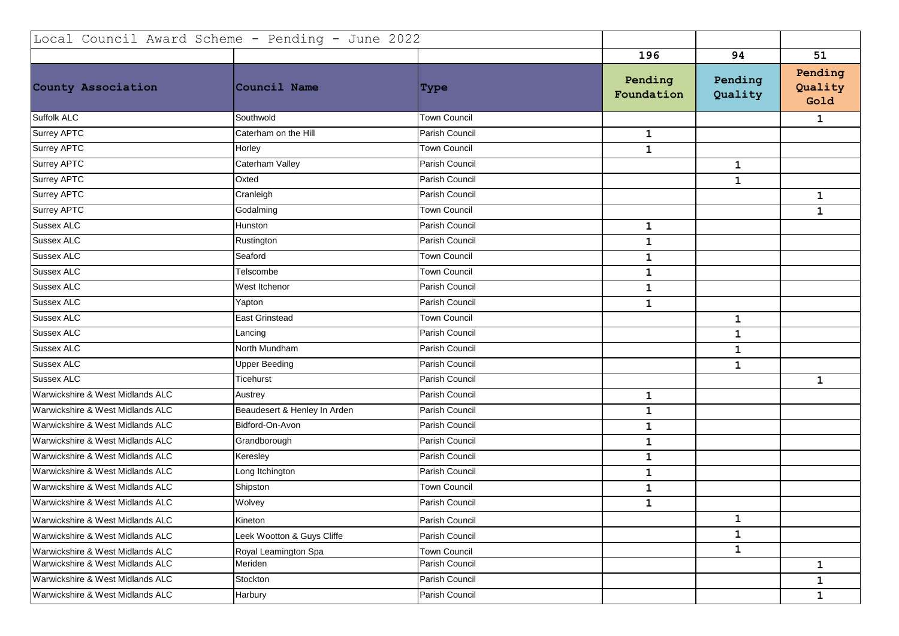| Local Council Award Scheme - Pending - June 2022 |                              |                     |                       |                    |                            |
|--------------------------------------------------|------------------------------|---------------------|-----------------------|--------------------|----------------------------|
|                                                  |                              |                     | 196                   | 94                 | 51                         |
| County Association                               | Council Name                 | Type                | Pending<br>Foundation | Pending<br>Quality | Pending<br>Quality<br>Gold |
| Suffolk ALC                                      | Southwold                    | <b>Town Council</b> |                       |                    | $\mathbf{1}$               |
| Surrey APTC                                      | Caterham on the Hill         | Parish Council      | $\mathbf{1}$          |                    |                            |
| <b>Surrey APTC</b>                               | Horley                       | Town Council        | $\mathbf 1$           |                    |                            |
| <b>Surrey APTC</b>                               | Caterham Valley              | Parish Council      |                       | $\mathbf{1}$       |                            |
| Surrey APTC                                      | Oxted                        | Parish Council      |                       | $\mathbf{1}$       |                            |
| <b>Surrey APTC</b>                               | Cranleigh                    | Parish Council      |                       |                    | $\mathbf{1}$               |
| <b>Surrey APTC</b>                               | Godalming                    | <b>Town Council</b> |                       |                    | 1                          |
| Sussex ALC                                       | Hunston                      | Parish Council      | $\mathbf{1}$          |                    |                            |
| <b>Sussex ALC</b>                                | Rustington                   | Parish Council      | $\mathbf 1$           |                    |                            |
| <b>Sussex ALC</b>                                | Seaford                      | Town Council        | $\mathbf{1}$          |                    |                            |
| Sussex ALC                                       | Telscombe                    | <b>Town Council</b> | $\mathbf{1}$          |                    |                            |
| <b>Sussex ALC</b>                                | West Itchenor                | Parish Council      | $\mathbf{1}$          |                    |                            |
| <b>Sussex ALC</b>                                | Yapton                       | Parish Council      | $\mathbf 1$           |                    |                            |
| <b>Sussex ALC</b>                                | East Grinstead               | <b>Town Council</b> |                       | $\mathbf{1}$       |                            |
| <b>Sussex ALC</b>                                | Lancing                      | Parish Council      |                       | $\mathbf 1$        |                            |
| <b>Sussex ALC</b>                                | North Mundham                | Parish Council      |                       | $\mathbf 1$        |                            |
| Sussex ALC                                       | <b>Upper Beeding</b>         | Parish Council      |                       | $\mathbf{1}$       |                            |
| <b>Sussex ALC</b>                                | Ticehurst                    | Parish Council      |                       |                    | $\mathbf{1}$               |
| Warwickshire & West Midlands ALC                 | Austrey                      | Parish Council      | $\mathbf{1}$          |                    |                            |
| Warwickshire & West Midlands ALC                 | Beaudesert & Henley In Arden | Parish Council      | $\mathbf{1}$          |                    |                            |
| Warwickshire & West Midlands ALC                 | Bidford-On-Avon              | Parish Council      | $\mathbf{1}$          |                    |                            |
| Warwickshire & West Midlands ALC                 | Grandborough                 | Parish Council      | $\mathbf{1}$          |                    |                            |
| Warwickshire & West Midlands ALC                 | Keresley                     | Parish Council      | $\mathbf{1}$          |                    |                            |
| Warwickshire & West Midlands ALC                 | Long Itchington              | Parish Council      | $\mathbf{1}$          |                    |                            |
| Warwickshire & West Midlands ALC                 | Shipston                     | Town Council        | $\mathbf{1}$          |                    |                            |
| Warwickshire & West Midlands ALC                 | Wolvey                       | Parish Council      | $\mathbf{1}$          |                    |                            |
| Warwickshire & West Midlands ALC                 | Kineton                      | Parish Council      |                       | $\mathbf{1}$       |                            |
| Warwickshire & West Midlands ALC                 | Leek Wootton & Guys Cliffe   | Parish Council      |                       | $\mathbf{1}$       |                            |
| Warwickshire & West Midlands ALC                 | Royal Leamington Spa         | Town Council        |                       | $\mathbf{1}$       |                            |
| Warwickshire & West Midlands ALC                 | Meriden                      | Parish Council      |                       |                    | $\mathbf{1}$               |
| Warwickshire & West Midlands ALC                 | Stockton                     | Parish Council      |                       |                    | $\mathbf{1}$               |
| Warwickshire & West Midlands ALC                 | Harbury                      | Parish Council      |                       |                    | $\mathbf{1}$               |